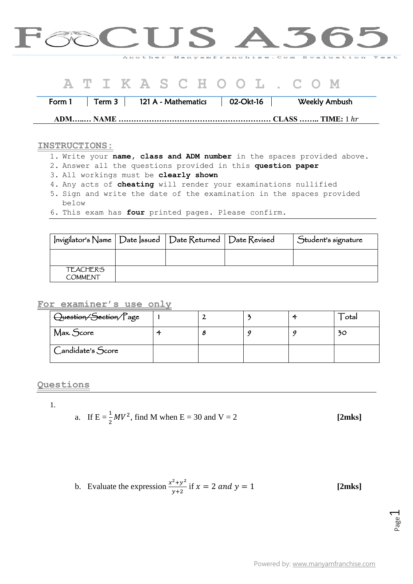|        |                  |  | CUS A505                                     |  |           |  |  |               |  |  |
|--------|------------------|--|----------------------------------------------|--|-----------|--|--|---------------|--|--|
|        |                  |  | Another Manyamfranchise. Com Evaluation Test |  |           |  |  |               |  |  |
|        | ATIKASCHOOL. COM |  |                                              |  |           |  |  |               |  |  |
| Form 1 | Term 3           |  | 121 A - Mathematics                          |  | 02-Okt-16 |  |  | Weekly Ambush |  |  |

**ADM…..… NAME …………………………………………………… CLASS …….. TIME:** 1

## **INSTRUCTIONS:**

- 1. Write your **name, class and ADM number** in the spaces provided above.
- 2. Answer all the questions provided in this **question paper**
- 3. All workings must be **clearly shown**
- 4. Any acts of **cheating** will render your examinations nullified
- 5. Sign and write the date of the examination in the spaces provided below
- 6. This exam has **four** printed pages. Please confirm.

| Invigilator's Name   Date  ssued   Date Returned   Date Revised |  | Student's signature |
|-----------------------------------------------------------------|--|---------------------|
|                                                                 |  |                     |
| <b>TEACHER'S</b><br><b>COMMENT</b>                              |  |                     |

## **For examiner's use only**

| Question/Section/Page |  |  | otal |
|-----------------------|--|--|------|
| Max. Score            |  |  | 30   |
| Candidate's Score     |  |  |      |

## **Questions**

1.

a. If 
$$
E = \frac{1}{2}MV^2
$$
, find M when  $E = 30$  and  $V = 2$  [2mks]

b. Evaluate the expression 
$$
\frac{x^2 + y^2}{y + 2}
$$
 if  $x = 2$  and  $y = 1$  [2mks]

Page  $\overline{\phantom{0}}$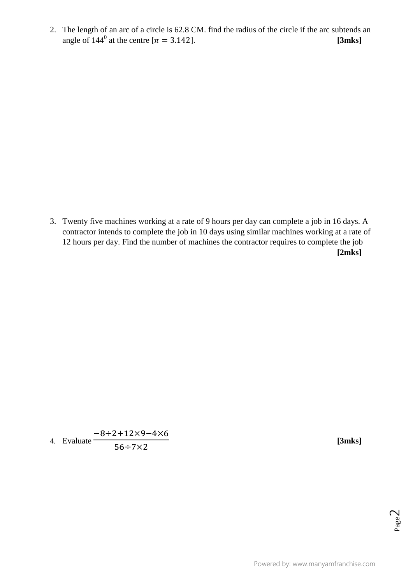2. The length of an arc of a circle is 62.8 CM. find the radius of the circle if the arc subtends an angle of  $144^0$  at the centre  $[\pi = 3.142]$ . [3mks]

3. Twenty five machines working at a rate of 9 hours per day can complete a job in 16 days. A contractor intends to complete the job in 10 days using similar machines working at a rate of 12 hours per day. Find the number of machines the contractor requires to complete the job **[2mks]**

4. Evaluate 
$$
\frac{-8 \div 2 + 12 \times 9 - 4 \times 6}{56 \div 7 \times 2}
$$

**[3mks]**

Page  $\sim$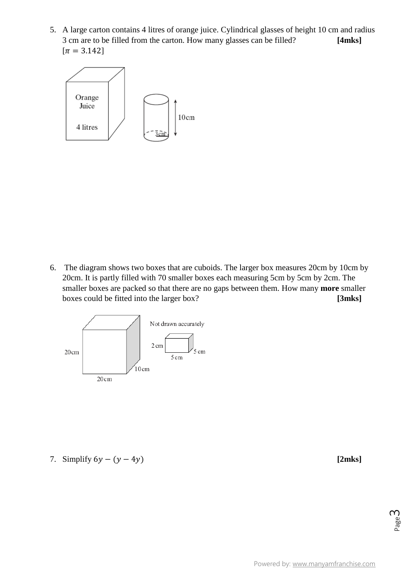5. A large carton contains 4 litres of orange juice. Cylindrical glasses of height 10 cm and radius 3 cm are to be filled from the carton. How many glasses can be filled? **[4mks]**  $[\pi = 3.142]$ 



6. The diagram shows two boxes that are cuboids. The larger box measures 20cm by 10cm by 20cm. It is partly filled with 70 smaller boxes each measuring 5cm by 5cm by 2cm. The smaller boxes are packed so that there are no gaps between them. How many **more** smaller boxes could be fitted into the larger box? **[3mks]**



7. Simplify  $6y - (y - 4y)$  [2mks]

Page ന